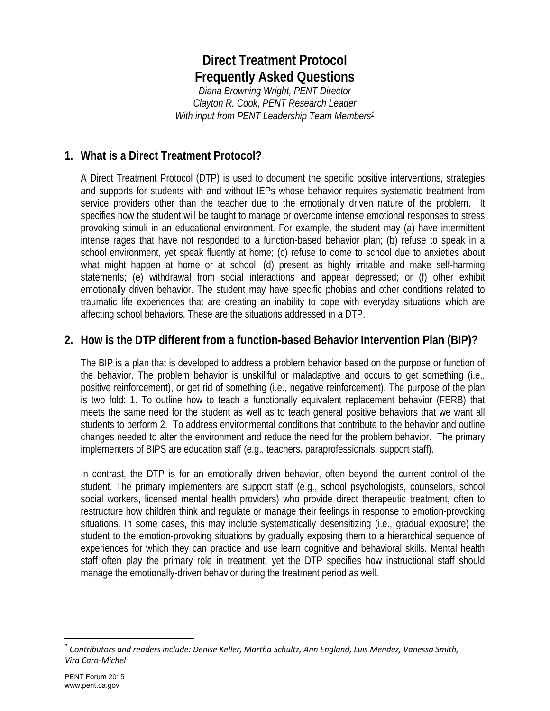# **Direct Treatment Protocol Frequently Asked Questions**

*Diana Browning Wright, PENT Director Clayton R. Cook, PENT Research Leader With input from PENT Leadership Team Members1*

# **1. What is a Direct Treatment Protocol?**

A Direct Treatment Protocol (DTP) is used to document the specific positive interventions, strategies and supports for students with and without IEPs whose behavior requires systematic treatment from service providers other than the teacher due to the emotionally driven nature of the problem. It specifies how the student will be taught to manage or overcome intense emotional responses to stress provoking stimuli in an educational environment. For example, the student may (a) have intermittent intense rages that have not responded to a function-based behavior plan; (b) refuse to speak in a school environment, yet speak fluently at home; (c) refuse to come to school due to anxieties about what might happen at home or at school; (d) present as highly irritable and make self-harming statements; (e) withdrawal from social interactions and appear depressed; or (f) other exhibit emotionally driven behavior. The student may have specific phobias and other conditions related to traumatic life experiences that are creating an inability to cope with everyday situations which are affecting school behaviors. These are the situations addressed in a DTP.

# **2. How is the DTP different from a function-based Behavior Intervention Plan (BIP)?**

The BIP is a plan that is developed to address a problem behavior based on the purpose or function of the behavior. The problem behavior is unskillful or maladaptive and occurs to get something (i.e., positive reinforcement), or get rid of something (i.e., negative reinforcement). The purpose of the plan is two fold: 1. To outline how to teach a functionally equivalent replacement behavior (FERB) that meets the same need for the student as well as to teach general positive behaviors that we want all students to perform 2. To address environmental conditions that contribute to the behavior and outline changes needed to alter the environment and reduce the need for the problem behavior. The primary implementers of BIPS are education staff (e.g., teachers, paraprofessionals, support staff).

In contrast, the DTP is for an emotionally driven behavior, often beyond the current control of the student. The primary implementers are support staff (e.g., school psychologists, counselors, school social workers, licensed mental health providers) who provide direct therapeutic treatment, often to restructure how children think and regulate or manage their feelings in response to emotion-provoking situations. In some cases, this may include systematically desensitizing (i.e., gradual exposure) the student to the emotion-provoking situations by gradually exposing them to a hierarchical sequence of experiences for which they can practice and use learn cognitive and behavioral skills. Mental health staff often play the primary role in treatment, yet the DTP specifies how instructional staff should manage the emotionally-driven behavior during the treatment period as well.

 $\overline{a}$ 

*<sup>1</sup> Contributors and readers include: Denise Keller, Martha Schultz, Ann England, Luis Mendez, Vanessa Smith, Vira Caro‐Michel*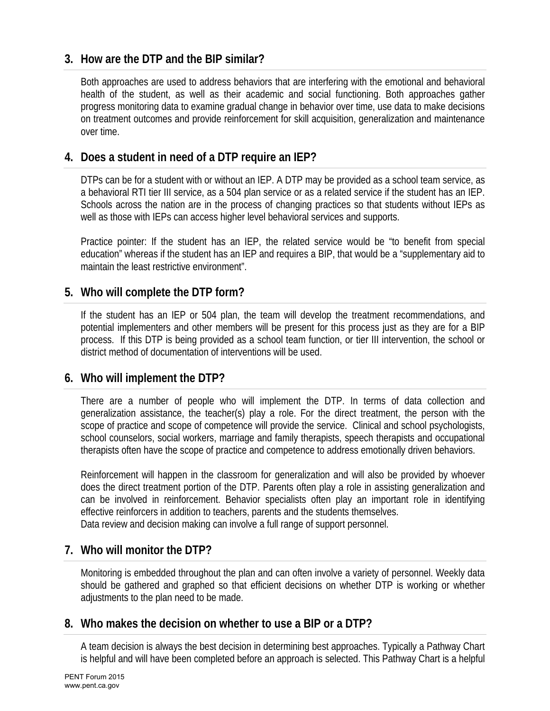## **3. How are the DTP and the BIP similar?**

Both approaches are used to address behaviors that are interfering with the emotional and behavioral health of the student, as well as their academic and social functioning. Both approaches gather progress monitoring data to examine gradual change in behavior over time, use data to make decisions on treatment outcomes and provide reinforcement for skill acquisition, generalization and maintenance over time.

#### **4. Does a student in need of a DTP require an IEP?**

DTPs can be for a student with or without an IEP. A DTP may be provided as a school team service, as a behavioral RTI tier III service, as a 504 plan service or as a related service if the student has an IEP. Schools across the nation are in the process of changing practices so that students without IEPs as well as those with IEPs can access higher level behavioral services and supports.

Practice pointer: If the student has an IEP, the related service would be "to benefit from special education" whereas if the student has an IEP and requires a BIP, that would be a "supplementary aid to maintain the least restrictive environment".

## **5. Who will complete the DTP form?**

If the student has an IEP or 504 plan, the team will develop the treatment recommendations, and potential implementers and other members will be present for this process just as they are for a BIP process. If this DTP is being provided as a school team function, or tier III intervention, the school or district method of documentation of interventions will be used.

#### **6. Who will implement the DTP?**

There are a number of people who will implement the DTP. In terms of data collection and generalization assistance, the teacher(s) play a role. For the direct treatment, the person with the scope of practice and scope of competence will provide the service. Clinical and school psychologists, school counselors, social workers, marriage and family therapists, speech therapists and occupational therapists often have the scope of practice and competence to address emotionally driven behaviors.

Reinforcement will happen in the classroom for generalization and will also be provided by whoever does the direct treatment portion of the DTP. Parents often play a role in assisting generalization and can be involved in reinforcement. Behavior specialists often play an important role in identifying effective reinforcers in addition to teachers, parents and the students themselves. Data review and decision making can involve a full range of support personnel.

## **7. Who will monitor the DTP?**

Monitoring is embedded throughout the plan and can often involve a variety of personnel. Weekly data should be gathered and graphed so that efficient decisions on whether DTP is working or whether adjustments to the plan need to be made.

#### **8. Who makes the decision on whether to use a BIP or a DTP?**

A team decision is always the best decision in determining best approaches. Typically a Pathway Chart is helpful and will have been completed before an approach is selected. This Pathway Chart is a helpful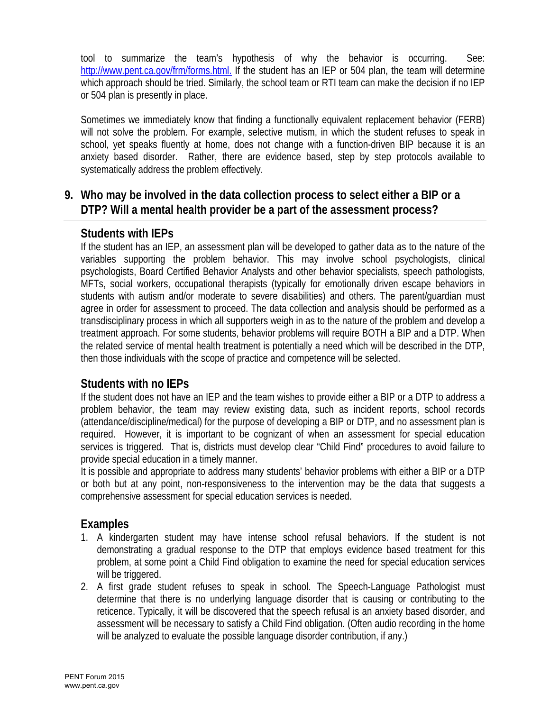tool to summarize the team's hypothesis of why the behavior is occurring. See: http://www.pent.ca.gov/frm/forms.html. If the student has an IEP or 504 plan, the team will determine which approach should be tried. Similarly, the school team or RTI team can make the decision if no IEP or 504 plan is presently in place.

Sometimes we immediately know that finding a functionally equivalent replacement behavior (FERB) will not solve the problem. For example, selective mutism, in which the student refuses to speak in school, yet speaks fluently at home, does not change with a function-driven BIP because it is an anxiety based disorder. Rather, there are evidence based, step by step protocols available to systematically address the problem effectively.

# **9. Who may be involved in the data collection process to select either a BIP or a DTP? Will a mental health provider be a part of the assessment process?**

## **Students with IEPs**

If the student has an IEP, an assessment plan will be developed to gather data as to the nature of the variables supporting the problem behavior. This may involve school psychologists, clinical psychologists, Board Certified Behavior Analysts and other behavior specialists, speech pathologists, MFTs, social workers, occupational therapists (typically for emotionally driven escape behaviors in students with autism and/or moderate to severe disabilities) and others. The parent/guardian must agree in order for assessment to proceed. The data collection and analysis should be performed as a transdisciplinary process in which all supporters weigh in as to the nature of the problem and develop a treatment approach. For some students, behavior problems will require BOTH a BIP and a DTP. When the related service of mental health treatment is potentially a need which will be described in the DTP, then those individuals with the scope of practice and competence will be selected.

## **Students with no IEPs**

If the student does not have an IEP and the team wishes to provide either a BIP or a DTP to address a problem behavior, the team may review existing data, such as incident reports, school records (attendance/discipline/medical) for the purpose of developing a BIP or DTP, and no assessment plan is required. However, it is important to be cognizant of when an assessment for special education services is triggered. That is, districts must develop clear "Child Find" procedures to avoid failure to provide special education in a timely manner.

It is possible and appropriate to address many students' behavior problems with either a BIP or a DTP or both but at any point, non-responsiveness to the intervention may be the data that suggests a comprehensive assessment for special education services is needed.

## **Examples**

- 1. A kindergarten student may have intense school refusal behaviors. If the student is not demonstrating a gradual response to the DTP that employs evidence based treatment for this problem, at some point a Child Find obligation to examine the need for special education services will be triggered.
- 2. A first grade student refuses to speak in school. The Speech-Language Pathologist must determine that there is no underlying language disorder that is causing or contributing to the reticence. Typically, it will be discovered that the speech refusal is an anxiety based disorder, and assessment will be necessary to satisfy a Child Find obligation. (Often audio recording in the home will be analyzed to evaluate the possible language disorder contribution, if any.)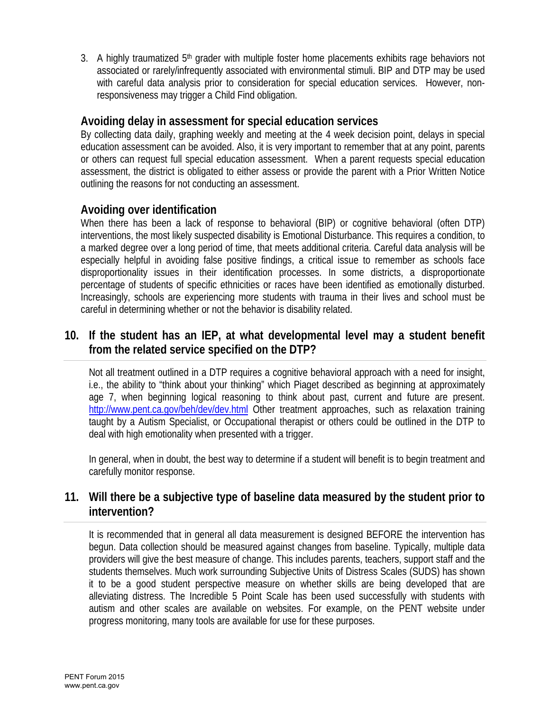3. A highly traumatized  $5<sup>th</sup>$  grader with multiple foster home placements exhibits rage behaviors not associated or rarely/infrequently associated with environmental stimuli. BIP and DTP may be used with careful data analysis prior to consideration for special education services. However, nonresponsiveness may trigger a Child Find obligation.

## **Avoiding delay in assessment for special education services**

By collecting data daily, graphing weekly and meeting at the 4 week decision point, delays in special education assessment can be avoided. Also, it is very important to remember that at any point, parents or others can request full special education assessment. When a parent requests special education assessment, the district is obligated to either assess or provide the parent with a Prior Written Notice outlining the reasons for not conducting an assessment.

## **Avoiding over identification**

When there has been a lack of response to behavioral (BIP) or cognitive behavioral (often DTP) interventions, the most likely suspected disability is Emotional Disturbance. This requires a condition, to a marked degree over a long period of time, that meets additional criteria. Careful data analysis will be especially helpful in avoiding false positive findings, a critical issue to remember as schools face disproportionality issues in their identification processes. In some districts, a disproportionate percentage of students of specific ethnicities or races have been identified as emotionally disturbed. Increasingly, schools are experiencing more students with trauma in their lives and school must be careful in determining whether or not the behavior is disability related.

# **10. If the student has an IEP, at what developmental level may a student benefit from the related service specified on the DTP?**

Not all treatment outlined in a DTP requires a cognitive behavioral approach with a need for insight, i.e., the ability to "think about your thinking" which Piaget described as beginning at approximately age 7, when beginning logical reasoning to think about past, current and future are present. http://www.pent.ca.gov/beh/dev/dev.html Other treatment approaches, such as relaxation training taught by a Autism Specialist, or Occupational therapist or others could be outlined in the DTP to deal with high emotionality when presented with a trigger.

In general, when in doubt, the best way to determine if a student will benefit is to begin treatment and carefully monitor response.

## **11. Will there be a subjective type of baseline data measured by the student prior to intervention?**

It is recommended that in general all data measurement is designed BEFORE the intervention has begun. Data collection should be measured against changes from baseline. Typically, multiple data providers will give the best measure of change. This includes parents, teachers, support staff and the students themselves. Much work surrounding Subjective Units of Distress Scales (SUDS) has shown it to be a good student perspective measure on whether skills are being developed that are alleviating distress. The Incredible 5 Point Scale has been used successfully with students with autism and other scales are available on websites. For example, on the PENT website under progress monitoring, many tools are available for use for these purposes.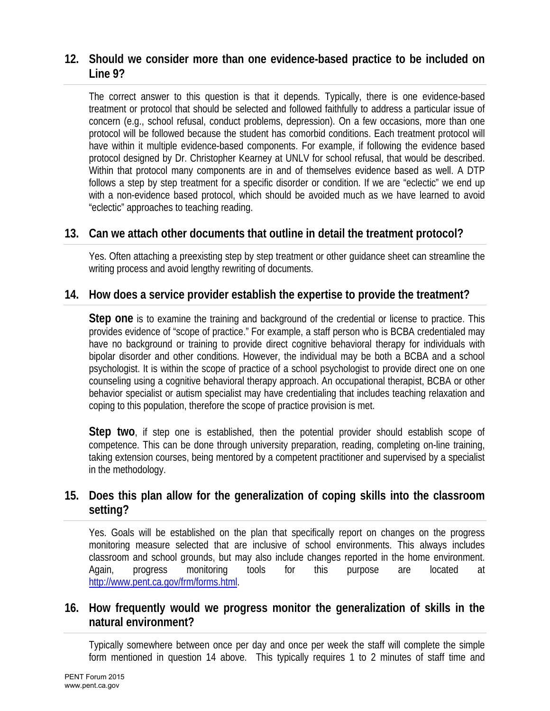# **12. Should we consider more than one evidence-based practice to be included on Line 9?**

The correct answer to this question is that it depends. Typically, there is one evidence-based treatment or protocol that should be selected and followed faithfully to address a particular issue of concern (e.g., school refusal, conduct problems, depression). On a few occasions, more than one protocol will be followed because the student has comorbid conditions. Each treatment protocol will have within it multiple evidence-based components. For example, if following the evidence based protocol designed by Dr. Christopher Kearney at UNLV for school refusal, that would be described. Within that protocol many components are in and of themselves evidence based as well. A DTP follows a step by step treatment for a specific disorder or condition. If we are "eclectic" we end up with a non-evidence based protocol, which should be avoided much as we have learned to avoid "eclectic" approaches to teaching reading.

## **13. Can we attach other documents that outline in detail the treatment protocol?**

Yes. Often attaching a preexisting step by step treatment or other guidance sheet can streamline the writing process and avoid lengthy rewriting of documents.

#### **14. How does a service provider establish the expertise to provide the treatment?**

**Step one** is to examine the training and background of the credential or license to practice. This provides evidence of "scope of practice." For example, a staff person who is BCBA credentialed may have no background or training to provide direct cognitive behavioral therapy for individuals with bipolar disorder and other conditions. However, the individual may be both a BCBA and a school psychologist. It is within the scope of practice of a school psychologist to provide direct one on one counseling using a cognitive behavioral therapy approach. An occupational therapist, BCBA or other behavior specialist or autism specialist may have credentialing that includes teaching relaxation and coping to this population, therefore the scope of practice provision is met.

**Step two**, if step one is established, then the potential provider should establish scope of competence. This can be done through university preparation, reading, completing on-line training, taking extension courses, being mentored by a competent practitioner and supervised by a specialist in the methodology.

# **15. Does this plan allow for the generalization of coping skills into the classroom setting?**

Yes. Goals will be established on the plan that specifically report on changes on the progress monitoring measure selected that are inclusive of school environments. This always includes classroom and school grounds, but may also include changes reported in the home environment. Again, progress monitoring tools for this purpose are located at http://www.pent.ca.gov/frm/forms.html.

#### **16. How frequently would we progress monitor the generalization of skills in the natural environment?**

Typically somewhere between once per day and once per week the staff will complete the simple form mentioned in question 14 above. This typically requires 1 to 2 minutes of staff time and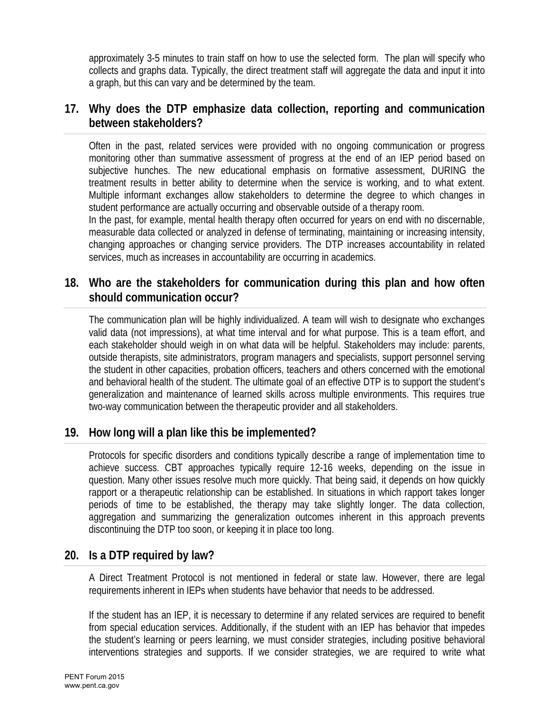approximately 3-5 minutes to train staff on how to use the selected form. The plan will specify who collects and graphs data. Typically, the direct treatment staff will aggregate the data and input it into a graph, but this can vary and be determined by the team.

#### **17. Why does the DTP emphasize data collection, reporting and communication between stakeholders?**

Often in the past, related services were provided with no ongoing communication or progress monitoring other than summative assessment of progress at the end of an IEP period based on subjective hunches. The new educational emphasis on formative assessment, DURING the treatment results in better ability to determine when the service is working, and to what extent. Multiple informant exchanges allow stakeholders to determine the degree to which changes in student performance are actually occurring and observable outside of a therapy room.

In the past, for example, mental health therapy often occurred for years on end with no discernable, measurable data collected or analyzed in defense of terminating, maintaining or increasing intensity, changing approaches or changing service providers. The DTP increases accountability in related services, much as increases in accountability are occurring in academics.

## **18. Who are the stakeholders for communication during this plan and how often should communication occur?**

The communication plan will be highly individualized. A team will wish to designate who exchanges valid data (not impressions), at what time interval and for what purpose. This is a team effort, and each stakeholder should weigh in on what data will be helpful. Stakeholders may include: parents, outside therapists, site administrators, program managers and specialists, support personnel serving the student in other capacities, probation officers, teachers and others concerned with the emotional and behavioral health of the student. The ultimate goal of an effective DTP is to support the student's generalization and maintenance of learned skills across multiple environments. This requires true two-way communication between the therapeutic provider and all stakeholders.

## **19. How long will a plan like this be implemented?**

Protocols for specific disorders and conditions typically describe a range of implementation time to achieve success. CBT approaches typically require 12-16 weeks, depending on the issue in question. Many other issues resolve much more quickly. That being said, it depends on how quickly rapport or a therapeutic relationship can be established. In situations in which rapport takes longer periods of time to be established, the therapy may take slightly longer. The data collection, aggregation and summarizing the generalization outcomes inherent in this approach prevents discontinuing the DTP too soon, or keeping it in place too long.

## **20. Is a DTP required by law?**

A Direct Treatment Protocol is not mentioned in federal or state law. However, there are legal requirements inherent in IEPs when students have behavior that needs to be addressed.

If the student has an IEP, it is necessary to determine if any related services are required to benefit from special education services. Additionally, if the student with an IEP has behavior that impedes the student's learning or peers learning, we must consider strategies, including positive behavioral interventions strategies and supports. If we consider strategies, we are required to write what